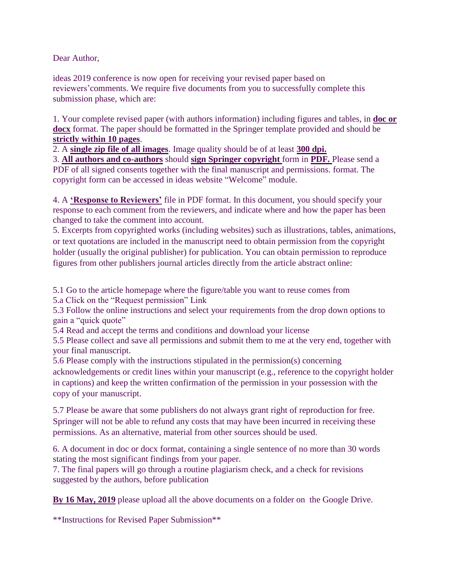Dear Author,

ideas 2019 conference is now open for receiving your revised paper based on reviewers'comments. We require five documents from you to successfully complete this submission phase, which are:

1. Your complete revised paper (with authors information) including figures and tables, in **doc or docx** format. The paper should be formatted in the Springer template provided and should be **strictly within 10 pages**.

2. A **single zip file of all images**. Image quality should be of at least **300 dpi.**

3. **All authors and co-authors** should **sign Springer copyright** form in **PDF.** Please send a PDF of all signed consents together with the final manuscript and permissions. format. The copyright form can be accessed in ideas website "Welcome" module.

4. A **'Response to Reviewers'** file in PDF format. In this document, you should specify your response to each comment from the reviewers, and indicate where and how the paper has been changed to take the comment into account.

5. Excerpts from copyrighted works (including websites) such as illustrations, tables, animations, or text quotations are included in the manuscript need to obtain permission from the copyright holder (usually the original publisher) for publication. You can obtain permission to reproduce figures from other publishers journal articles directly from the article abstract online:

5.1 Go to the article homepage where the figure/table you want to reuse comes from

5.a Click on the "Request permission" Link

5.3 Follow the online instructions and select your requirements from the drop down options to gain a "quick quote"

5.4 Read and accept the terms and conditions and download your license

5.5 Please collect and save all permissions and submit them to me at the very end, together with your final manuscript.

5.6 Please comply with the instructions stipulated in the permission(s) concerning acknowledgements or credit lines within your manuscript (e.g., reference to the copyright holder in captions) and keep the written confirmation of the permission in your possession with the copy of your manuscript.

5.7 Please be aware that some publishers do not always grant right of reproduction for free. Springer will not be able to refund any costs that may have been incurred in receiving these permissions. As an alternative, material from other sources should be used.

6. A document in doc or docx format, containing a single sentence of no more than 30 words stating the most significant findings from your paper.

7. The final papers will go through a routine plagiarism check, and a check for revisions suggested by the authors, before publication

**By 16 May, 2019** please upload all the above documents on a folder on the Google Drive.

\*\*Instructions for Revised Paper Submission\*\*